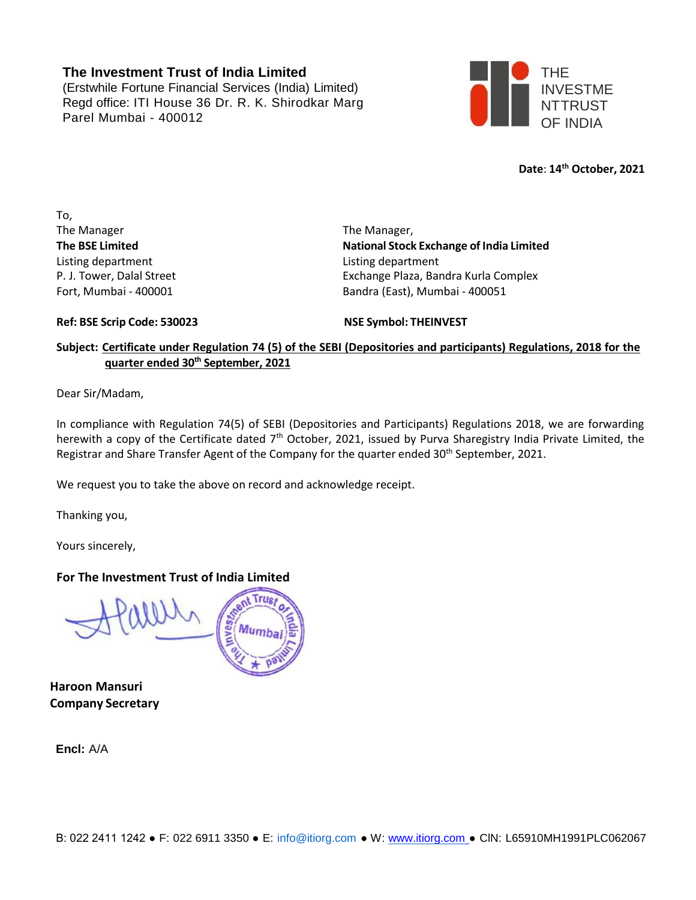### **The Investment Trust of India Limited**

(Erstwhile Fortune Financial Services (India) Limited) Regd office: ITI House 36 Dr. R. K. Shirodkar Marg Parel Mumbai - 400012



**Date**: **14th October, 2021**

To, The Manager The Manager, Listing department Listing department

**The BSE Limited National Stock Exchange of India Limited** P. J. Tower, Dalal Street **Exchange Plaza, Bandra Kurla Complex** Fort, Mumbai - 400001 Bandra (East), Mumbai - 400051

**Ref: BSE Scrip Code: 530023 NSE Symbol: THEINVEST**

### Subject: Certificate under Regulation 74 (5) of the SEBI (Depositories and participants) Regulations, 2018 for the **quarter ended 30th September, 2021**

Dear Sir/Madam,

In compliance with Regulation 74(5) of SEBI (Depositories and Participants) Regulations 2018, we are forwarding herewith a copy of the Certificate dated 7<sup>th</sup> October, 2021, issued by Purva Sharegistry India Private Limited, the Registrar and Share Transfer Agent of the Company for the quarter ended 30<sup>th</sup> September, 2021.

We request you to take the above on record and acknowledge receipt.

Thanking you,

Yours sincerely,

#### **For The Investment Trust of India Limited**

**Haroon Mansuri Company Secretary**

**Encl:** A/A

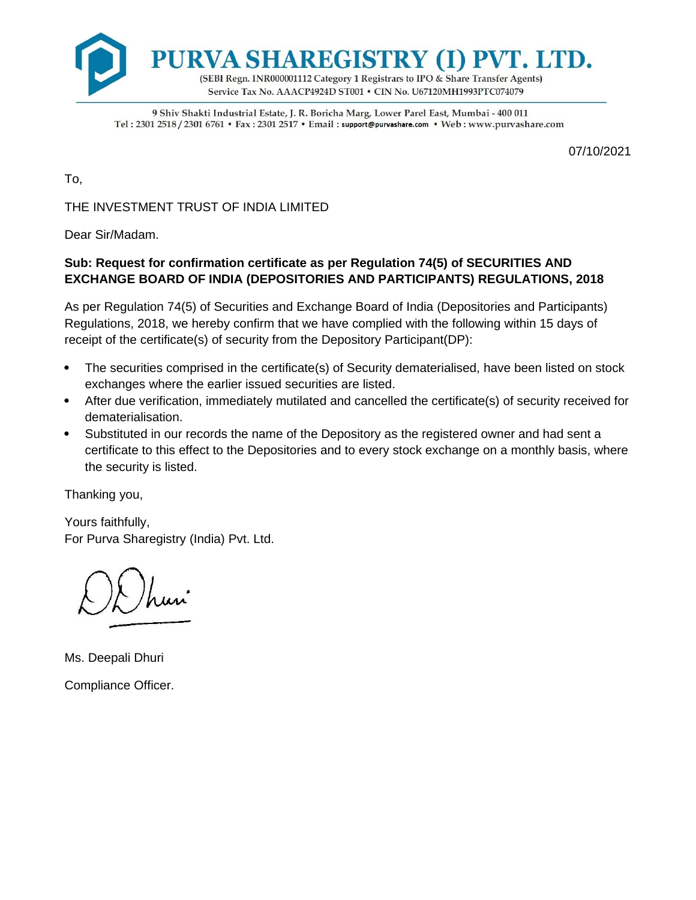

9 Shiv Shakti Industrial Estate, J. R. Boricha Marg, Lower Parel East, Mumbai - 400 011 Tel: 2301 2518 / 2301 6761 • Fax: 2301 2517 • Email: support@purvashare.com • Web: www.purvashare.com

07/10/2021

To,

THE INVESTMENT TRUST OF INDIA LIMITED

Dear Sir/Madam.

# **Sub: Request for confirmation certificate as per Regulation 74(5) of SECURITIES AND EXCHANGE BOARD OF INDIA (DEPOSITORIES AND PARTICIPANTS) REGULATIONS, 2018**

As per Regulation 74(5) of Securities and Exchange Board of India (Depositories and Participants) Regulations, 2018, we hereby confirm that we have complied with the following within 15 days of receipt of the certificate(s) of security from the Depository Participant(DP):

- The securities comprised in the certificate(s) of Security dematerialised, have been listed on stock exchanges where the earlier issued securities are listed.
- After due verification, immediately mutilated and cancelled the certificate(s) of security received for dematerialisation.
- Substituted in our records the name of the Depository as the registered owner and had sent a certificate to this effect to the Depositories and to every stock exchange on a monthly basis, where the security is listed.

Thanking you,

Yours faithfully, For Purva Sharegistry (India) Pvt. Ltd.

Ms. Deepali Dhuri Compliance Officer.